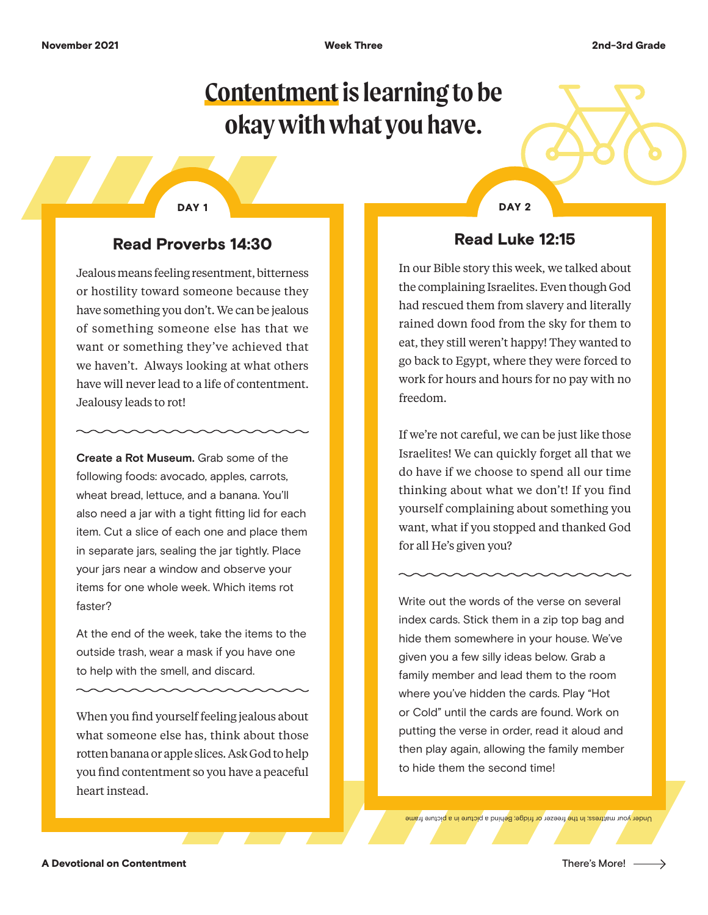# **Contentment is learning to be okay with what you have.**

#### DAY 1 DAY 2

### Read Proverbs 14:30

Jealous means feeling resentment, bitterness or hostility toward someone because they have something you don't. We can be jealous of something someone else has that we want or something they've achieved that we haven't. Always looking at what others have will never lead to a life of contentment. Jealousy leads to rot!

**Create a Rot Museum.** Grab some of the following foods: avocado, apples, carrots, wheat bread, lettuce, and a banana. You'll also need a jar with a tight fitting lid for each item. Cut a slice of each one and place them in separate jars, sealing the jar tightly. Place your jars near a window and observe your items for one whole week. Which items rot faster?

At the end of the week, take the items to the outside trash, wear a mask if you have one to help with the smell, and discard.

When you find yourself feeling jealous about what someone else has, think about those rotten banana or apple slices. Ask God to help you find contentment so you have a peaceful heart instead.

#### Read Luke 12:15

In our Bible story this week, we talked about the complaining Israelites. Even though God had rescued them from slavery and literally rained down food from the sky for them to eat, they still weren't happy! They wanted to go back to Egypt, where they were forced to work for hours and hours for no pay with no freedom.

If we're not careful, we can be just like those Israelites! We can quickly forget all that we do have if we choose to spend all our time thinking about what we don't! If you find yourself complaining about something you want, what if you stopped and thanked God for all He's given you?

Write out the words of the verse on several index cards. Stick them in a zip top bag and hide them somewhere in your house. We've given you a few silly ideas below. Grab a family member and lead them to the room where you've hidden the cards. Play "Hot or Cold" until the cards are found. Work on putting the verse in order, read it aloud and then play again, allowing the family member to hide them the second time!

Under your mattress; In the freezer or fridge; Behind a picture in a picture frame